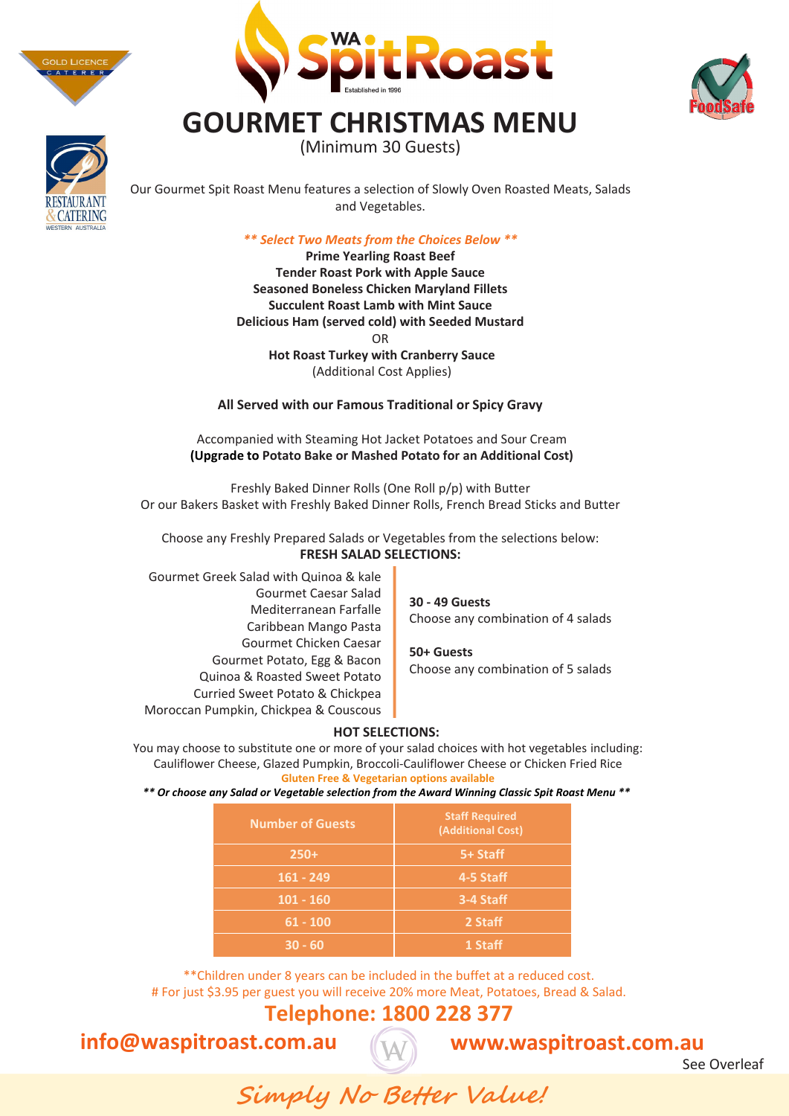





# **CATERING**

Our Gourmet Spit Roast Menu features a selection of Slowly Oven Roasted Meats, Salads and Vegetables.

**GOURMET CHRISTMAS MENU** (Minimum 30 Guests)

#### *\*\* Select Two Meats from the Choices Below \*\**

**Prime Yearling Roast Beef Tender Roast Pork with Apple Sauce Seasoned Boneless Chicken Maryland Fillets Succulent Roast Lamb with Mint Sauce Delicious Ham (served cold) with Seeded Mustard** OR **Hot Roast Turkey with Cranberry Sauce** (Additional Cost Applies)

**All Served with our Famous Traditional or Spicy Gravy**

Accompanied with Steaming Hot Jacket Potatoes and Sour Cream **(Upgrade to Potato Bake or Mashed Potato for an Additional Cost)**

Freshly Baked Dinner Rolls (One Roll p/p) with Butter Or our Bakers Basket with Freshly Baked Dinner Rolls, French Bread Sticks and Butter

Choose any Freshly Prepared Salads or Vegetables from the selections below: **FRESH SALAD SELECTIONS:**

Gourmet Greek Salad with Quinoa & kale Gourmet Caesar Salad Mediterranean Farfalle Caribbean Mango Pasta Gourmet Chicken Caesar Gourmet Potato, Egg & Bacon Quinoa & Roasted Sweet Potato Curried Sweet Potato & Chickpea Moroccan Pumpkin, Chickpea & Couscous

**30 - 49 Guests** Choose any combination of 4 salads

**50+ Guests** Choose any combination of 5 salads

# **HOT SELECTIONS:**

You may choose to substitute one or more of your salad choices with hot vegetables including: Cauliflower Cheese, Glazed Pumpkin, Broccoli-Cauliflower Cheese or Chicken Fried Rice **Gluten Free & Vegetarian options available**

*\*\* Or choose any Salad or Vegetable selection from the Award Winning Classic Spit Roast Menu \*\** 

| <b>Number of Guests</b> | <b>Staff Required</b><br>(Additional Cost) |
|-------------------------|--------------------------------------------|
| $250+$                  | 5+ Staff                                   |
| $161 - 249$             | 4-5 Staff                                  |
| $101 - 160$             | 3-4 Staff                                  |
| $61 - 100$              | 2 Staff                                    |
| 30 - 60                 | 1 Staff                                    |

\*\*Children under 8 years can be included in the buffet at a reduced cost. # For just \$3.95 per guest you will receive 20% more Meat, Potatoes, Bread & Salad.

# **Telephone: 1800 228 377**

**info@waspitroast.com.au** 

# **www.waspitroast.com.au**

See Overleaf

**Simply No Better Value!**